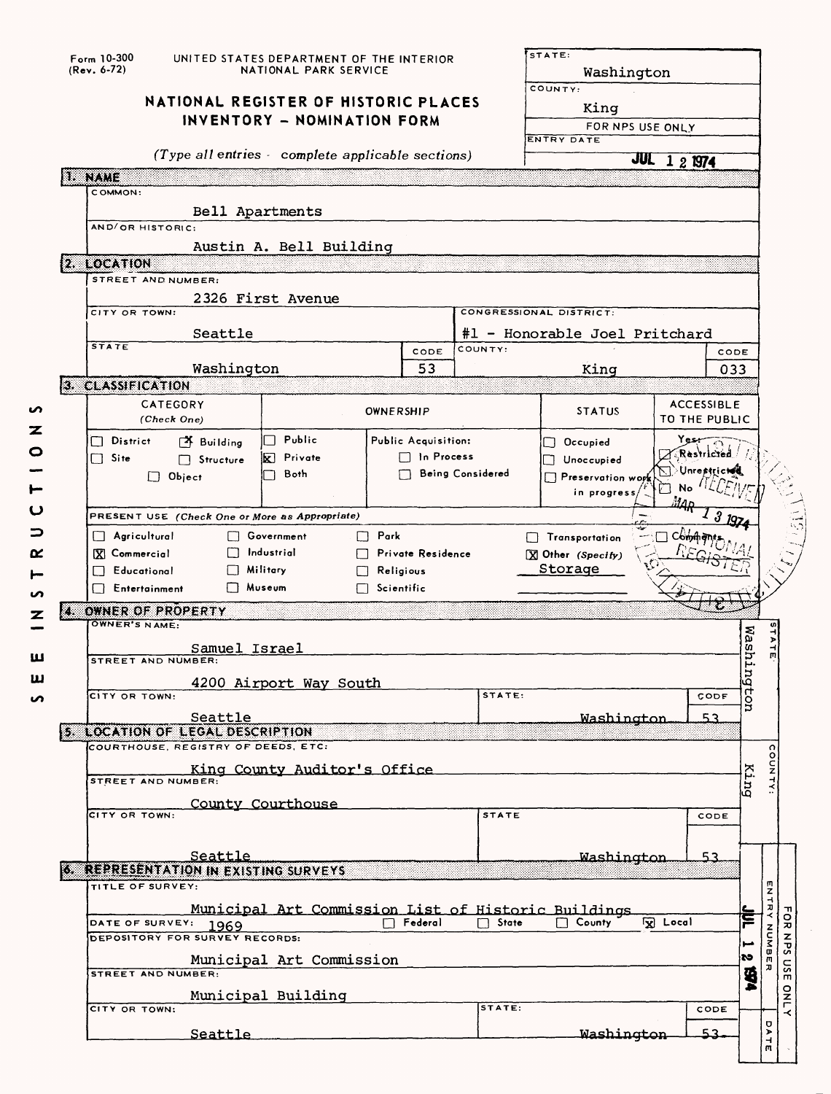|         |                                      | Form 10-300<br>UNITED STATES DEPARTMENT OF THE INTERIOR<br>$(Rev. 6-72)$<br>NATIONAL PARK SERVICE |                                                     |             |                                       |                         | STATE:<br>Washington<br>COUNTY:<br>King |                     |                                   |           |                                                   |                |
|---------|--------------------------------------|---------------------------------------------------------------------------------------------------|-----------------------------------------------------|-------------|---------------------------------------|-------------------------|-----------------------------------------|---------------------|-----------------------------------|-----------|---------------------------------------------------|----------------|
|         | NATIONAL REGISTER OF HISTORIC PLACES |                                                                                                   |                                                     |             |                                       |                         |                                         |                     |                                   |           |                                                   |                |
|         | INVENTORY - NOMINATION FORM          |                                                                                                   |                                                     |             |                                       |                         | FOR NPS USE ONLY<br><b>ENTRY DATE</b>   |                     |                                   |           |                                                   |                |
|         |                                      |                                                                                                   | (Type all entries complete applicable sections)     |             |                                       |                         |                                         | <b>JUL 1 2 1974</b> |                                   |           |                                                   |                |
|         |                                      | <b>NAME</b>                                                                                       |                                                     |             |                                       |                         |                                         |                     |                                   |           |                                                   |                |
|         |                                      | COMMON:                                                                                           |                                                     |             |                                       |                         |                                         |                     |                                   |           |                                                   |                |
|         |                                      | Bell Apartments                                                                                   |                                                     |             |                                       |                         |                                         |                     |                                   |           |                                                   |                |
|         |                                      | AND/OR HISTORIC:                                                                                  |                                                     |             |                                       |                         |                                         |                     |                                   |           |                                                   |                |
|         |                                      | 2. LOCATION                                                                                       | Austin A. Bell Building                             |             |                                       |                         |                                         |                     |                                   |           |                                                   |                |
|         |                                      | STREET AND NUMBER:                                                                                |                                                     |             |                                       |                         |                                         |                     |                                   |           |                                                   |                |
|         |                                      |                                                                                                   | 2326 First Avenue                                   |             |                                       |                         |                                         |                     |                                   |           |                                                   |                |
|         |                                      | CITY OR TOWN:                                                                                     |                                                     |             |                                       | CONGRESSIONAL DISTRICT: |                                         |                     |                                   |           |                                                   |                |
|         |                                      | Seattle<br><b>STATE</b>                                                                           |                                                     |             |                                       | COUNTY:                 | #1 - Honorable Joel Pritchard           |                     |                                   |           |                                                   |                |
|         |                                      | Washington                                                                                        |                                                     |             | CODE<br>53                            |                         | King                                    |                     | CODE<br>033                       |           |                                                   |                |
|         |                                      | 3. CLASSIFICATION                                                                                 |                                                     |             |                                       |                         |                                         |                     |                                   |           |                                                   |                |
| n       |                                      | CATEGORY                                                                                          |                                                     |             |                                       |                         |                                         |                     | <b>ACCESSIBLE</b>                 |           |                                                   |                |
| z       |                                      | (Check One)                                                                                       |                                                     | OWNERSHIP   |                                       |                         | <b>STATUS</b>                           | TO THE PUBLIC       |                                   |           |                                                   |                |
| $\circ$ |                                      | District<br>$\begin{bmatrix} 4 \\ 8 \end{bmatrix}$ Building                                       | Public                                              |             | Public Acquisition:                   |                         | Occupied                                | <b>بری 2</b>        |                                   |           |                                                   |                |
|         |                                      | $\Box$ Site<br>□ Structure                                                                        | <b>X</b> Private                                    |             | $\Box$ In Process                     |                         | Unoccupied                              |                     | Restricted<br><b>Unrestricted</b> |           |                                                   |                |
| ⊢       |                                      | $\Box$ Object                                                                                     | Both                                                |             |                                       | <b>Being Considered</b> | Preservation work                       | ٠Ò<br>No            |                                   |           |                                                   |                |
| ပ       |                                      |                                                                                                   |                                                     |             |                                       |                         | in progress                             | M4                  |                                   |           |                                                   |                |
| っ       |                                      | PRESENT USE (Check One or More as Appropriate)                                                    |                                                     |             |                                       |                         |                                         |                     | $19Z_4$                           |           |                                                   |                |
| α       |                                      | $\Box$ Agricultural<br>$\mathbf{I}$                                                               | Government<br>Industrial                            | $\Box$ Park |                                       |                         | Transportation                          | Commitms            |                                   |           |                                                   |                |
|         |                                      | <b>X</b> Commercial<br>$\Box$ Educational                                                         | <b>Military</b>                                     |             | <b>Private Residence</b><br>Religious |                         | [X] Other (Specify)<br>Storage          |                     |                                   |           |                                                   |                |
| ທ       |                                      | Entertainment<br>$\Box$                                                                           | Museum                                              | Scientific  |                                       |                         |                                         |                     |                                   |           |                                                   |                |
| z       | z                                    | OWNER OF PROPERTY                                                                                 |                                                     |             |                                       |                         |                                         |                     |                                   |           |                                                   |                |
|         |                                      | OWNER'S NAME:                                                                                     |                                                     |             |                                       |                         |                                         |                     |                                   |           |                                                   |                |
| ш       |                                      | Samuel Israel                                                                                     |                                                     |             |                                       |                         |                                         |                     |                                   | Washi     | ш                                                 |                |
|         |                                      | STREET AND NUMBER:                                                                                |                                                     |             |                                       |                         |                                         |                     |                                   | r.<br>Gu  |                                                   |                |
| ա       |                                      | CITY OR TOWN:                                                                                     | 4200 Airport Way South                              |             |                                       | STATE:                  |                                         |                     | CODE                              | ਰੋ        |                                                   |                |
|         |                                      | Seattle                                                                                           |                                                     |             |                                       |                         | .Washington                             |                     | 53                                | Ĕ         |                                                   |                |
|         |                                      | 5. LOCATION OF LEGAL DESCRIPTION                                                                  |                                                     |             |                                       |                         |                                         |                     |                                   |           |                                                   |                |
|         |                                      | COURTHOUSE, REGISTRY OF DEEDS, ETC:                                                               |                                                     |             |                                       |                         |                                         |                     |                                   |           |                                                   |                |
|         |                                      | <b>STREET AND NUMBER:</b>                                                                         | King County Auditor's Office                        |             |                                       |                         |                                         |                     |                                   | King      | COUNTY:                                           |                |
|         |                                      |                                                                                                   | County Courthouse                                   |             |                                       |                         |                                         |                     |                                   |           |                                                   |                |
|         |                                      | CITY OR TOWN:                                                                                     |                                                     |             |                                       | <b>STATE</b>            |                                         |                     | CODE                              |           |                                                   |                |
|         |                                      |                                                                                                   |                                                     |             |                                       |                         |                                         |                     |                                   |           |                                                   |                |
|         |                                      | Seattle                                                                                           |                                                     |             |                                       |                         | <b>Washington</b>                       |                     | 53                                |           |                                                   |                |
|         |                                      | 6. REPRESENTATION IN EXISTING SURVEYS<br>TITLE OF SURVEY:                                         |                                                     |             |                                       |                         |                                         |                     |                                   |           |                                                   |                |
|         |                                      |                                                                                                   |                                                     |             |                                       |                         |                                         |                     |                                   |           | ENTR                                              |                |
|         |                                      | DATE OF SURVEY: 1969                                                                              | Municipal Art Commission List of Historic Buildings |             | $\Box$ Federal                        | $\Box$ State            | $\Box$ County                           | <b>Ix Local</b>     |                                   | ؟         | ≺                                                 | FaR            |
|         |                                      | DEPOSITORY FOR SURVEY RECORDS:                                                                    |                                                     |             |                                       |                         |                                         |                     |                                   |           | NUMBE                                             | S <sub>z</sub> |
|         |                                      |                                                                                                   | Municipal Art Commission                            |             |                                       |                         |                                         |                     |                                   | <b>ZD</b> | ᄁ                                                 |                |
|         |                                      | <b>STREET AND NUMBER:</b>                                                                         |                                                     |             |                                       |                         |                                         |                     |                                   | Ş,        |                                                   | usE            |
|         |                                      | CITY OR TOWN:                                                                                     | Municipal Building                                  |             |                                       | STATE:                  |                                         |                     | CODE                              |           |                                                   | $\frac{8}{1}$  |
|         |                                      |                                                                                                   |                                                     |             |                                       |                         |                                         |                     |                                   |           | o                                                 | ≺              |
|         |                                      | <u>Seattle</u>                                                                                    |                                                     |             |                                       |                         | Washington                              |                     | 53.                               |           | $\blacktriangleright$<br>$\overline{\phantom{0}}$ |                |

ι  $\mathbf{I}$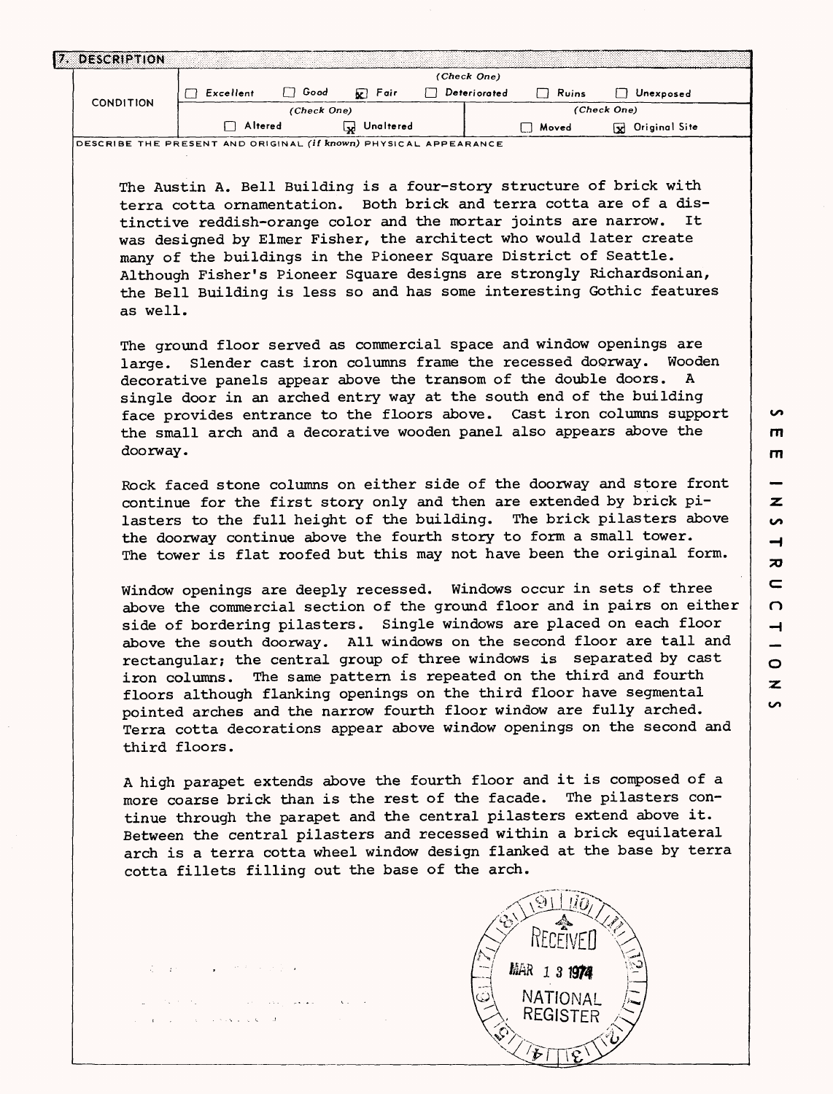| 7. DESCRIPTION   |             |             |                   |  |              |       |                      |  |  |
|------------------|-------------|-------------|-------------------|--|--------------|-------|----------------------|--|--|
|                  | (Check One) |             |                   |  |              |       |                      |  |  |
| <b>CONDITION</b> | Excellent   | Good        | $\mathbf{R}$ Fair |  | Deteriorated | Ruins | Unexposed            |  |  |
|                  |             | (Check One) |                   |  |              |       | (Check One)          |  |  |
|                  | Altered     |             | Unaltered<br>IJ   |  |              | Moved | Original Site<br>١x١ |  |  |

**DESCRIBE THE PRESENT AND ORIGINAL (if known) PHYSICAL APPEARANCE**

The Austin A. Bell Building is a four-story structure of brick with terra cotta ornamentation. Both brick and terra cotta are of a dis-<br>tinctive reddish-orange color and the mortar joints are narrow. It tinctive reddish-orange color and the mortar joints are narrow. was designed by Elmer Fisher, the architect who would later create many of the buildings in the Pioneer Square District of Seattle. Although Fisher's Pioneer Square designs are strongly Richardsonian, the Bell Building is less so and has some interesting Gothic features as well.

The ground floor served as commercial space and window openings are large. Slender cast iron columns frame the recessed doorway. Wooden decorative panels appear above the transom of the double doors. A single door in an arched entry way at the south end of the building face provides entrance to the floors above. Cast iron columns support the small arch and a decorative wooden panel also appears above the doorway.

Rock faced stone columns on either side of the doorway and store front continue for the first story only and then are extended by brick pilasters to the full height of the building. The brick pilasters above the doorway continue above the fourth story to form a small tower. The tower is flat roofed but this may not have been the original form.

Window openings are deeply recessed. Windows occur in sets of three above the commercial section of the ground floor and in pairs on either side of bordering pilasters. Single windows are placed on each floor above the south doorway. All windows on the second floor are tall and rectangular; the central group of three windows is separated by cast iron columns. The same pattern is repeated on the third and fourth floors although flanking openings on the third floor have segmental pointed arches and the narrow fourth floor window are fully arched. Terra cotta decorations appear above window openings on the second and third floors.

A high parapet extends above the fourth floor and it is composed of a more coarse brick than is the rest of the facade. The pilasters continue through the parapet and the central pilasters extend above it. Between the central pilasters and recessed within a brick equilateral arch is a terra cotta wheel window design flanked at the base by terra cotta fillets filling out the base of the arch.



**rn m**  $\overline{z}$ **00 H 70**  $\epsilon$  $\Omega$  $\rightarrow$  $\circ$  $\overline{z}$ **i** 

**in**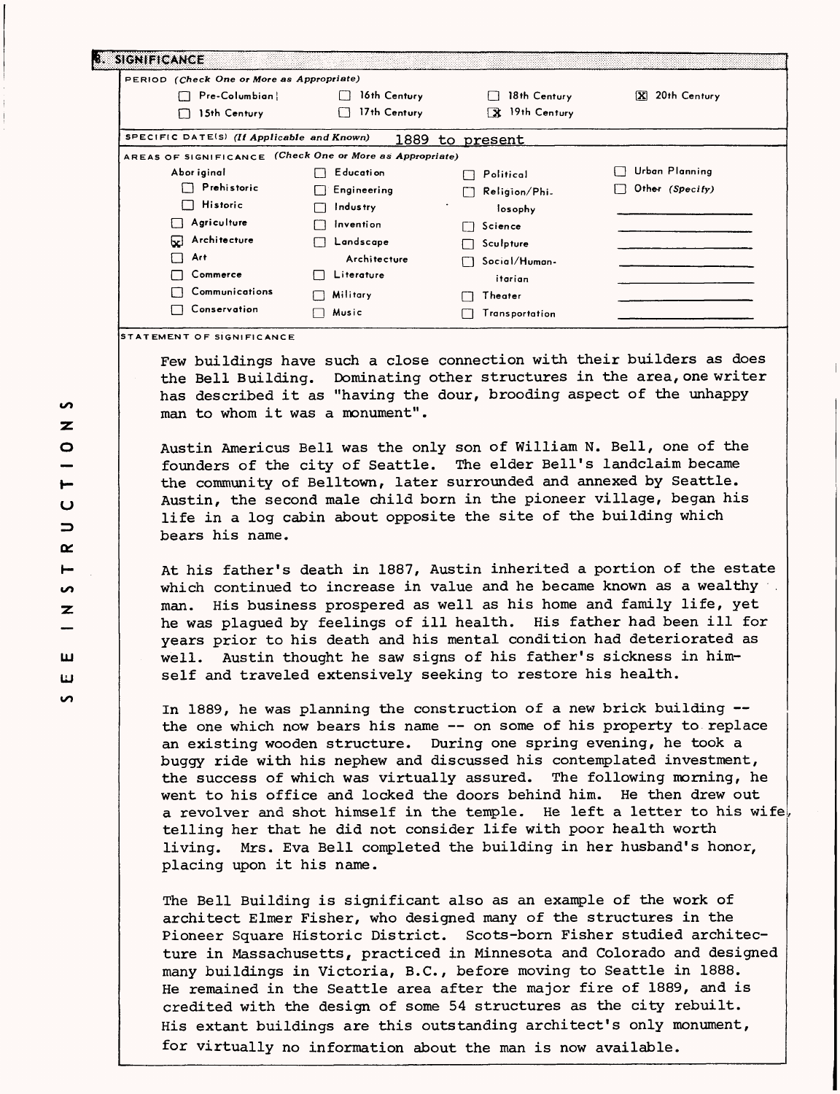| PERIOD (Check One or More as Appropriate)                |                     |                |                              |
|----------------------------------------------------------|---------------------|----------------|------------------------------|
| Pre-Columbian                                            | 16th Century        | 18th Century   | 20th Century<br>$\mathbf{x}$ |
| 15th Century<br>Ω                                        | 17th Century<br>i i | X 19th Century |                              |
| SPECIFIC DATE(S) (If Applicable and Known)               | 1889                | to present     |                              |
| AREAS OF SIGNIFICANCE (Check One or More as Appropriate) |                     |                |                              |
| Abor iginal                                              | <b>Education</b>    | Political      | Urban Planning               |
| Prehistoric                                              | Engineering         | Religion/Phi.  | Other (Specify)              |
| Historic<br>1 I                                          | Industry            | losophy        |                              |
| Agriculture                                              | invention           | Science<br>11  |                              |
| Architecture<br>⊌                                        | Landscape           | Sculpture      |                              |
| - 1<br>Art                                               | Architecture        | Social/Human-  |                              |
| Commerce                                                 | Literature          | itarian        |                              |
| Communications                                           | Military            | Theater        |                              |
| Conservation<br>l 1                                      | Music               | Transportation |                              |

Few buildings have such a close connection with their builders as does the Bell Building. Dominating other structures in the area, one writer has described it as "having the dour, brooding aspect of the unhappy man to whom it was a monument".

Austin Americus Bell was the only son of William N. Bell, one of the founders of the city of Seattle. The elder Bell's landclaim became the community of Belltown, later surrounded and annexed by Seattle. Austin, the second male child born in the pioneer village, began his life in a log cabin about opposite the site of the building which bears his name.

At his father's death in 1887, Austin inherited a portion of the estate which continued to increase in value and he became known as a wealthy man. His business prospered as well as his home and family life, yet he was plagued by feelings of ill health. His father had been ill for years prior to his death and his mental condition had deteriorated as well. Austin thought he saw signs of his father's sickness in himself and traveled extensively seeking to restore his health.

In 1889, he was planning the construction of a new brick building the one which now bears his name — on some of his property to replace an existing wooden structure. During one spring evening, he took a buggy ride with his nephew and discussed his contemplated investment, the success of which was virtually assured. The following morning, he went to his office and locked the doors behind him. He then drew out a revolver and shot himself in the temple. He left a letter to his wife. telling her that he did not consider life with poor health worth living. Mrs. Eva Bell completed the building in her husband's honor, placing upon it his name.

The Bell Building is significant also as an example of the work of architect Elmer Fisher, who designed many of the structures in the Pioneer Square Historic District. Scots-born Fisher studied architecture in Massachusetts, practiced in Minnesota and Colorado and designed many buildings in Victoria, B.C., before moving to Seattle in 1888. He remained in the Seattle area after the major fire of 1889, and is credited with the design of some 54 structures as the city rebuilt. His extant buildings are this outstanding architect's only monument, for virtually no information about the man is now available.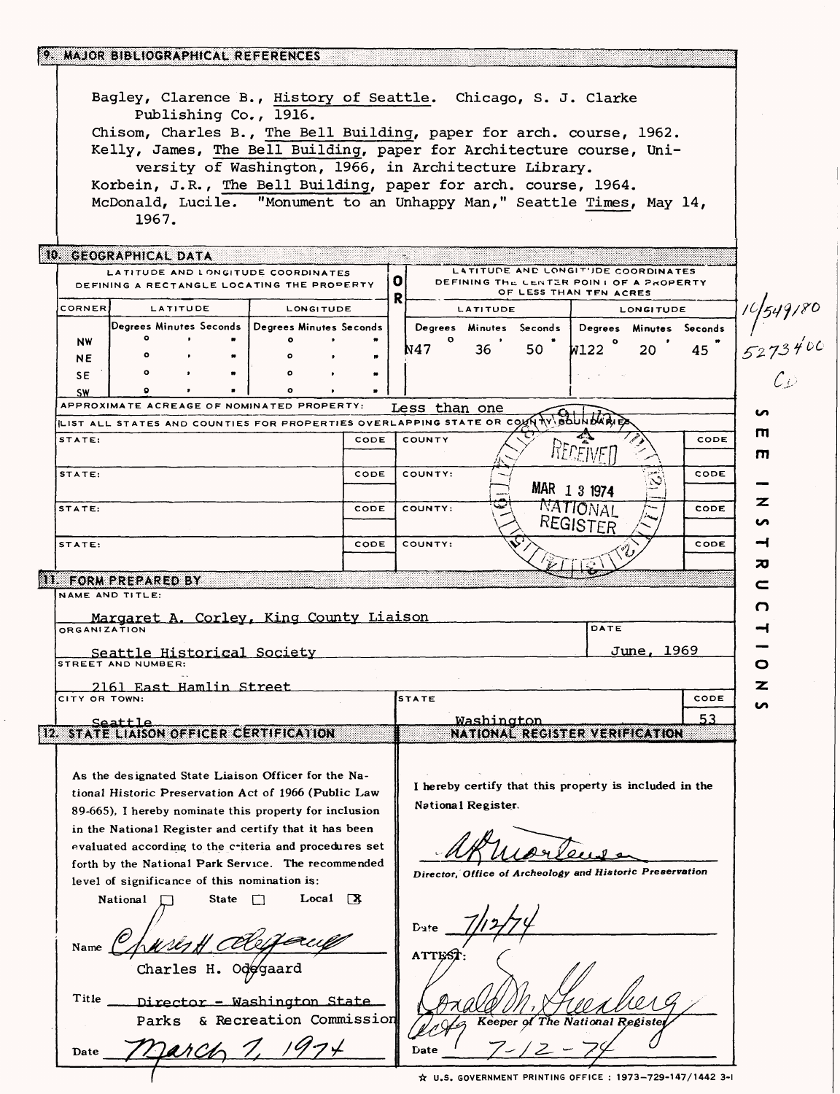|                                                                                               | 9. MAJOR BIBLIOGRAPHICAL REFERENCES                                                                                                                                                              |                                |      |                                                          |                 |                         |                        |                                                                                |      |                            |
|-----------------------------------------------------------------------------------------------|--------------------------------------------------------------------------------------------------------------------------------------------------------------------------------------------------|--------------------------------|------|----------------------------------------------------------|-----------------|-------------------------|------------------------|--------------------------------------------------------------------------------|------|----------------------------|
|                                                                                               | Bagley, Clarence B., History of Seattle. Chicago, S. J. Clarke<br>Publishing Co., 1916.<br>Chisom, Charles B., The Bell Building, paper for arch. course, 1962.                                  |                                |      |                                                          |                 |                         |                        |                                                                                |      |                            |
|                                                                                               | Kelly, James, The Bell Building, paper for Architecture course, Uni-<br>versity of Washington, 1966, in Architecture Library.<br>Korbein, J.R., The Bell Building, paper for arch. course, 1964. |                                |      |                                                          |                 |                         |                        |                                                                                |      |                            |
|                                                                                               | McDonald, Lucile. "Monument to an Unhappy Man," Seattle Times, May 14,<br>1967.                                                                                                                  |                                |      |                                                          |                 |                         |                        |                                                                                |      |                            |
|                                                                                               | 10. GEOGRAPHICAL DATA<br>LATITUDE AND LONGITUDE COORDINATES<br>DEFINING A RECTANGLE LOCATING THE PROPERTY                                                                                        |                                |      | o                                                        |                 |                         |                        | LATITUDE AND LONGIT'JDE COORDINATES<br>DEFINING THE CENTER POINT OF A PROPERTY |      |                            |
|                                                                                               |                                                                                                                                                                                                  |                                |      | R                                                        |                 |                         | OF LESS THAN TEN ACRES |                                                                                |      |                            |
| <b>CORNER</b>                                                                                 | <b>LATITUDE</b>                                                                                                                                                                                  | <b>LONGITUDE</b>               |      |                                                          | <b>LATITUDE</b> |                         |                        | <b>LONGITUDE</b>                                                               |      |                            |
|                                                                                               | Degrees Minutes Seconds   Degrees Minutes Seconds                                                                                                                                                | ۰                              |      |                                                          |                 | Degrees Minutes Seconds |                        | Degrees Minutes Seconds                                                        |      | 10 549/80<br>5273400<br>CD |
| NW                                                                                            |                                                                                                                                                                                                  |                                |      | N47                                                      | 36              | 50                      | W122                   | 20                                                                             | 45   |                            |
| <b>NE</b>                                                                                     |                                                                                                                                                                                                  |                                |      |                                                          |                 |                         |                        |                                                                                |      |                            |
| SE.                                                                                           |                                                                                                                                                                                                  | $\bullet$                      |      |                                                          |                 |                         |                        |                                                                                |      |                            |
| <b>SW</b>                                                                                     | APPROXIMATE ACREAGE OF NOMINATED PROPERTY:                                                                                                                                                       |                                |      |                                                          |                 |                         |                        |                                                                                |      |                            |
|                                                                                               | LIST ALL STATES AND COUNTIES FOR PROPERTIES OVERLAPPING STATE OR COUNTY BOUNDARIE                                                                                                                |                                |      | Less than one                                            |                 |                         |                        |                                                                                |      | n                          |
| STATE:                                                                                        |                                                                                                                                                                                                  |                                | CODE | COUNTY                                                   |                 |                         |                        |                                                                                | CODE | ш<br>m                     |
| STATE:                                                                                        |                                                                                                                                                                                                  |                                | CODE | COUNTY:                                                  |                 |                         | MAR 1 3 1974           |                                                                                | CODE |                            |
|                                                                                               |                                                                                                                                                                                                  |                                | CODE | COUNTY:                                                  |                 |                         | NATIONAL               |                                                                                | CODE | z                          |
| STATE:                                                                                        |                                                                                                                                                                                                  |                                |      |                                                          |                 |                         | REGISTER               |                                                                                |      | n                          |
| STATE:                                                                                        |                                                                                                                                                                                                  |                                | CODE | COUNTY:                                                  |                 |                         |                        |                                                                                | CODE | ⊣<br>カ                     |
|                                                                                               | <b>11. FORM PREPARED BY</b>                                                                                                                                                                      |                                |      |                                                          |                 |                         |                        |                                                                                |      | c                          |
|                                                                                               | NAME AND TITLE:<br>Margaret A. Corley, King County Liaison                                                                                                                                       |                                |      |                                                          |                 |                         |                        |                                                                                |      | O                          |
| <b>ORGANIZATION</b>                                                                           |                                                                                                                                                                                                  |                                |      |                                                          |                 |                         | DATE                   |                                                                                |      |                            |
|                                                                                               | Seattle Historical Society<br><b>STREET AND NUMBER:</b>                                                                                                                                          |                                |      |                                                          |                 |                         |                        | June, 1969                                                                     |      | o                          |
|                                                                                               | 2161 East Hamlin Street                                                                                                                                                                          |                                |      |                                                          |                 |                         |                        |                                                                                |      |                            |
| CITY OR TOWN:                                                                                 |                                                                                                                                                                                                  |                                |      | <b>STATE</b>                                             |                 |                         |                        |                                                                                | CODE |                            |
|                                                                                               | Seattle                                                                                                                                                                                          |                                |      |                                                          | Washington      |                         |                        |                                                                                | 53   |                            |
|                                                                                               | 12. STATE LIAISON OFFICER CERTIFICATION                                                                                                                                                          |                                |      |                                                          |                 |                         |                        | NATIONAL REGISTER VERIFICATION                                                 |      |                            |
|                                                                                               | As the designated State Liaison Officer for the Na-                                                                                                                                              |                                |      |                                                          |                 |                         |                        |                                                                                |      |                            |
|                                                                                               | tional Historic Preservation Act of 1966 (Public Law                                                                                                                                             |                                |      |                                                          |                 |                         |                        | I hereby certify that this property is included in the                         |      |                            |
|                                                                                               | 89-665), I hereby nominate this property for inclusion                                                                                                                                           |                                |      | National Register.                                       |                 |                         |                        |                                                                                |      |                            |
|                                                                                               |                                                                                                                                                                                                  |                                |      |                                                          |                 |                         |                        |                                                                                |      |                            |
|                                                                                               | in the National Register and certify that it has been<br>evaluated according to the criteria and procedures set                                                                                  |                                |      |                                                          |                 |                         |                        |                                                                                |      |                            |
|                                                                                               |                                                                                                                                                                                                  |                                |      |                                                          |                 |                         |                        |                                                                                |      |                            |
| forth by the National Park Service. The recommended                                           |                                                                                                                                                                                                  |                                |      | Director, Office of Archeology and Historic Preservation |                 |                         |                        |                                                                                |      |                            |
| level of significance of this nomination is:<br>$Local \quad \mathbb{R}$<br>National<br>State |                                                                                                                                                                                                  |                                |      | Date<br><b>ATTES</b>                                     |                 |                         |                        |                                                                                |      |                            |
|                                                                                               |                                                                                                                                                                                                  |                                |      |                                                          |                 |                         |                        |                                                                                |      |                            |
| Name                                                                                          |                                                                                                                                                                                                  |                                |      |                                                          |                 |                         |                        |                                                                                |      |                            |
|                                                                                               |                                                                                                                                                                                                  |                                |      |                                                          |                 |                         |                        |                                                                                |      |                            |
| Title                                                                                         | Director - Washington State                                                                                                                                                                      |                                |      |                                                          |                 |                         |                        |                                                                                |      |                            |
|                                                                                               | & Recreation Commission<br>Parks                                                                                                                                                                 | Keeper of The National Registe |      |                                                          |                 |                         |                        |                                                                                |      |                            |
| Date                                                                                          |                                                                                                                                                                                                  |                                |      | Date                                                     |                 |                         |                        |                                                                                |      |                            |
|                                                                                               |                                                                                                                                                                                                  |                                |      |                                                          |                 |                         |                        | ☆ U.S. GOVERNMENT PRINTING OFFICE : 1973-729-147/1442 3-1                      |      |                            |

 $\hat{\mathcal{L}}$